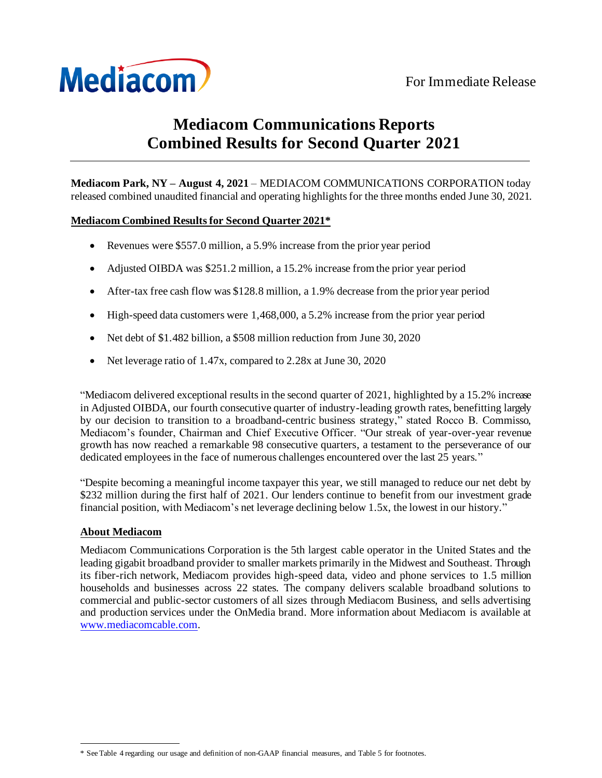

# **Mediacom Communications Reports Combined Results for Second Quarter 2021**

**Mediacom Park, NY – August 4, 2021** – MEDIACOM COMMUNICATIONS CORPORATION today released combined unaudited financial and operating highlights for the three months ended June 30, 2021.

### **Mediacom Combined Results for Second Quarter 2021\***

- Revenues were \$557.0 million, a 5.9% increase from the prior year period
- Adjusted OIBDA was \$251.2 million, a 15.2% increase from the prior year period
- After-tax free cash flow was \$128.8 million, a 1.9% decrease from the prior year period
- High-speed data customers were 1,468,000, a 5.2% increase from the prior year period
- Net debt of \$1,482 billion, a \$508 million reduction from June 30, 2020
- Net leverage ratio of 1.47x, compared to 2.28x at June 30, 2020

"Mediacom delivered exceptional results in the second quarter of 2021, highlighted by a 15.2% increase in Adjusted OIBDA, our fourth consecutive quarter of industry-leading growth rates, benefitting largely by our decision to transition to a broadband-centric business strategy," stated Rocco B. Commisso, Mediacom's founder, Chairman and Chief Executive Officer. "Our streak of year-over-year revenue growth has now reached a remarkable 98 consecutive quarters, a testament to the perseverance of our dedicated employees in the face of numerous challenges encountered over the last 25 years."

"Despite becoming a meaningful income taxpayer this year, we still managed to reduce our net debt by \$232 million during the first half of 2021. Our lenders continue to benefit from our investment grade financial position, with Mediacom's net leverage declining below 1.5x, the lowest in our history."

## **About Mediacom**

Mediacom Communications Corporation is the 5th largest cable operator in the United States and the leading gigabit broadband provider to smaller markets primarily in the Midwest and Southeast. Through its fiber-rich network, Mediacom provides high-speed data, video and phone services to 1.5 million households and businesses across 22 states. The company delivers scalable broadband solutions to commercial and public-sector customers of all sizes through Mediacom Business, and sells advertising and production services under the OnMedia brand. More information about Mediacom is available at [www.mediacomcable.com](http://www.mediacomcable.com/).

<sup>\*</sup> See Table 4 regarding our usage and definition of non-GAAP financial measures, and Table 5 for footnotes.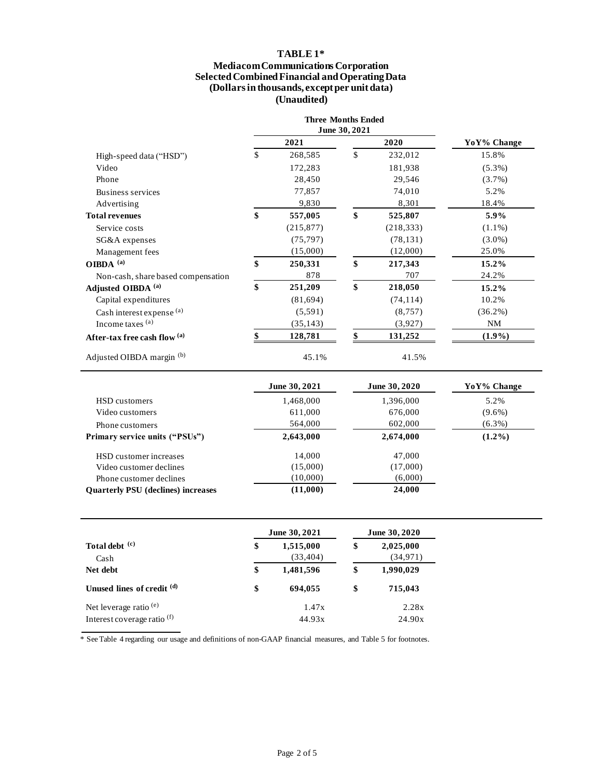## **TABLE 1\***

#### **Mediacom Communications Corporation Selected Combined Financial and Operating Data (Dollars in thousands, except per unit data) (Unaudited)**

|                                    | <b>Three Months Ended</b><br>June 30, 2021 |               |             |
|------------------------------------|--------------------------------------------|---------------|-------------|
|                                    | 2021                                       | 2020          | YoY% Change |
| High-speed data ("HSD")            | \$<br>268,585                              | \$<br>232,012 | 15.8%       |
| Video                              | 172,283                                    | 181,938       | $(5.3\%)$   |
| Phone                              | 28,450                                     | 29,546        | (3.7%)      |
| Business services                  | 77,857                                     | 74,010        | 5.2%        |
| Advertising                        | 9,830                                      | 8,301         | 18.4%       |
| <b>Total revenues</b>              | \$<br>557,005                              | \$<br>525,807 | 5.9%        |
| Service costs                      | (215, 877)                                 | (218, 333)    | $(1.1\%)$   |
| SG&A expenses                      | (75, 797)                                  | (78, 131)     | $(3.0\%)$   |
| Management fees                    | (15,000)                                   | (12,000)      | 25.0%       |
| OIBDA $^{(a)}$                     | \$<br>250,331                              | \$<br>217,343 | 15.2%       |
| Non-cash, share based compensation | 878                                        | 707           | 24.2%       |
| Adjusted OIBDA <sup>(a)</sup>      | \$<br>251,209                              | \$<br>218,050 | 15.2%       |
| Capital expenditures               | (81, 694)                                  | (74, 114)     | 10.2%       |
| Cash interest expense (a)          | (5,591)                                    | (8, 757)      | $(36.2\%)$  |
| Income taxes $(a)$                 | (35, 143)                                  | (3,927)       | NM          |
| After-tax free cash flow $(a)$     | 128,781                                    | 131,252       | $(1.9\%)$   |
| Adjusted OIBDA margin (b)          | 45.1%                                      | 41.5%         |             |

|                                           | June 30, 2021 |           | YoY% Change |  |  |
|-------------------------------------------|---------------|-----------|-------------|--|--|
| HSD customers                             | 1,468,000     | 1,396,000 | 5.2%        |  |  |
| Video customers                           | 611,000       | 676,000   | $(9.6\%)$   |  |  |
| Phone customers                           | 564,000       | 602,000   | $(6.3\%)$   |  |  |
| Primary service units ("PSUs")            | 2,643,000     | 2,674,000 | $(1.2\%)$   |  |  |
| HSD customer increases                    | 14.000        | 47,000    |             |  |  |
| Video customer declines                   | (15,000)      | (17,000)  |             |  |  |
| Phone customer declines                   | (10,000)      | (6,000)   |             |  |  |
| <b>Ouarterly PSU</b> (declines) increases | (11,000)      | 24,000    |             |  |  |

|                             | June 30, 2021                | June 30, 2020                |  |  |
|-----------------------------|------------------------------|------------------------------|--|--|
| Total debt (c)<br>Cash      | \$<br>1,515,000<br>(33, 404) | \$<br>2,025,000<br>(34, 971) |  |  |
| Net debt                    | \$<br>1,481,596              | \$<br>1,990,029              |  |  |
| Unused lines of credit (d)  | \$<br>694,055                | \$<br>715,043                |  |  |
| Net leverage ratio $(e)$    | 1.47x                        | 2.28x                        |  |  |
| Interest coverage ratio (f) | 44.93x                       | 24.90x                       |  |  |

\* See Table 4 regarding our usage and definitions of non-GAAP financial measures, and Table 5 for footnotes.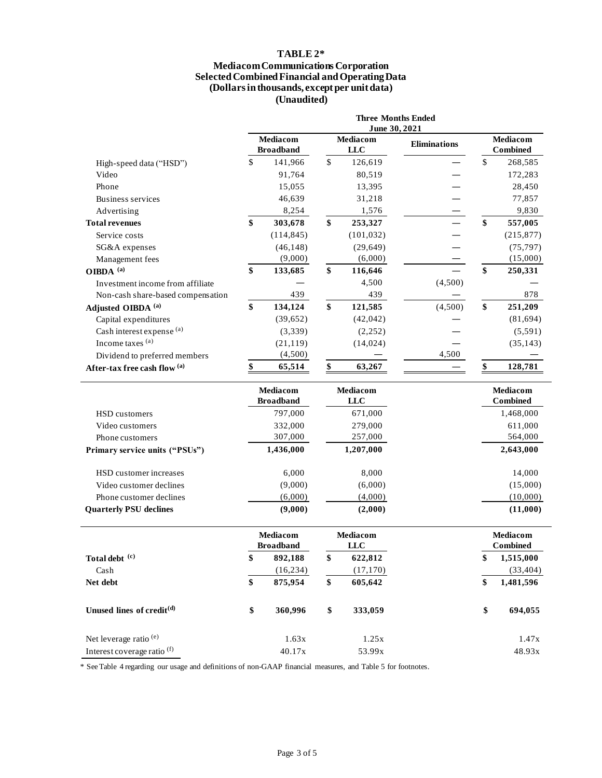## **TABLE 2\***

#### **Mediacom Communications Corporation Selected Combined Financial and Operating Data (Dollars in thousands, except per unit data) (Unaudited)**

|                                        | <b>Three Months Ended</b><br>June 30, 2021 |            |                               |            |              |                             |            |
|----------------------------------------|--------------------------------------------|------------|-------------------------------|------------|--------------|-----------------------------|------------|
|                                        | Mediacom<br><b>Broadband</b>               |            | Mediacom<br><b>LLC</b>        |            | Eliminations | Mediacom<br><b>Combined</b> |            |
| High-speed data ("HSD")                | \$                                         | 141,966    | $\mathbb{S}$                  | 126,619    |              | $\mathbb{S}$                | 268,585    |
| Video                                  |                                            | 91,764     |                               | 80,519     |              |                             | 172,283    |
| Phone                                  |                                            | 15,055     |                               | 13,395     |              |                             | 28,450     |
| <b>Business services</b>               |                                            | 46,639     |                               | 31,218     |              |                             | 77,857     |
| Advertising                            |                                            | 8,254      |                               | 1,576      |              |                             | 9,830      |
| <b>Total revenues</b>                  | \$                                         | 303,678    | \$                            | 253,327    |              | \$                          | 557,005    |
| Service costs                          |                                            | (114, 845) |                               | (101, 032) |              |                             | (215, 877) |
| SG&A expenses                          |                                            | (46, 148)  |                               | (29, 649)  |              |                             | (75, 797)  |
| Management fees                        |                                            | (9,000)    |                               | (6,000)    |              |                             | (15,000)   |
| OIBDA <sup>(a)</sup>                   | \$                                         | 133,685    | \$                            | 116,646    |              | \$                          | 250,331    |
| Investment income from affiliate       |                                            |            |                               | 4,500      | (4,500)      |                             |            |
| Non-cash share-based compensation      |                                            | 439        |                               | 439        |              |                             | 878        |
| Adjusted OIBDA <sup>(a)</sup>          | \$                                         | 134,124    | \$                            | 121,585    | (4,500)      | \$                          | 251,209    |
| Capital expenditures                   |                                            | (39, 652)  |                               | (42, 042)  |              |                             | (81, 694)  |
| Cash interest expense (a)              |                                            | (3,339)    |                               | (2, 252)   |              |                             | (5, 591)   |
| Income taxes (a)                       |                                            | (21, 119)  |                               | (14, 024)  |              |                             | (35, 143)  |
| Dividend to preferred members          |                                            | (4,500)    |                               |            | 4,500        |                             |            |
| After-tax free cash flow (a)           | \$                                         | 65,514     | \$                            | 63,267     |              |                             | 128,781    |
|                                        |                                            |            |                               |            |              |                             |            |
|                                        | Mediacom<br><b>Broadband</b>               |            | <b>Mediacom</b><br><b>LLC</b> |            |              | Mediacom<br><b>Combined</b> |            |
| HSD customers                          |                                            | 797,000    |                               | 671,000    |              |                             | 1,468,000  |
| Video customers                        |                                            | 332,000    |                               | 279,000    |              |                             | 611,000    |
| Phone customers                        |                                            | 307,000    |                               | 257,000    |              |                             | 564,000    |
| Primary service units ("PSUs")         |                                            | 1,436,000  |                               | 1,207,000  |              |                             | 2,643,000  |
| HSD customer increases                 |                                            | 6,000      |                               | 8,000      |              |                             | 14,000     |
| Video customer declines                |                                            | (9,000)    |                               | (6,000)    |              |                             | (15,000)   |
| Phone customer declines                |                                            | (6,000)    |                               | (4,000)    |              |                             | (10,000)   |
| <b>Quarterly PSU declines</b>          |                                            | (9,000)    |                               | (2,000)    |              |                             | (11,000)   |
|                                        | Mediacom<br><b>Broadband</b>               |            | Mediacom<br><b>LLC</b>        |            |              | Mediacom<br><b>Combined</b> |            |
| Total debt (c)                         | \$                                         | 892,188    | \$                            | 622,812    |              | \$                          | 1,515,000  |
| Cash                                   |                                            | (16, 234)  |                               | (17, 170)  |              |                             | (33, 404)  |
| Net debt                               | \$                                         | 875,954    | \$                            | 605,642    |              | \$                          | 1,481,596  |
| Unused lines of credit <sup>(d)</sup>  | \$                                         | 360,996    | \$                            | 333,059    |              | \$                          | 694,055    |
| Net leverage ratio <sup>(e)</sup>      |                                            | 1.63x      |                               | 1.25x      |              |                             | 1.47x      |
| Interest coverage ratio <sup>(f)</sup> |                                            | 40.17x     |                               | 53.99x     |              |                             | 48.93x     |

\* See Table 4 regarding our usage and definitions of non-GAAP financial measures, and Table 5 for footnotes.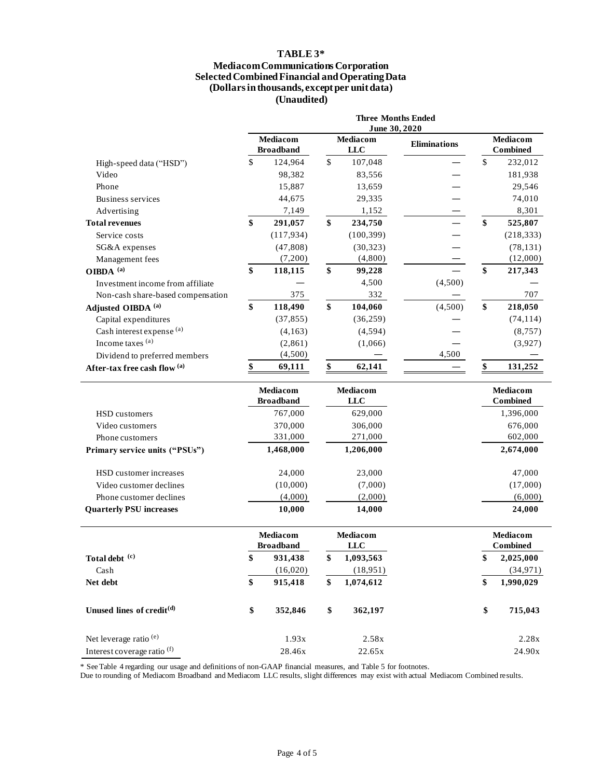## **TABLE 3\***

#### **Mediacom Communications Corporation Selected Combined Financial and Operating Data (Dollars in thousands, except per unit data) (Unaudited)**

|                                        | <b>Three Months Ended</b><br>June 30, 2020 |                                     |              |                               |                     |                                    |                             |
|----------------------------------------|--------------------------------------------|-------------------------------------|--------------|-------------------------------|---------------------|------------------------------------|-----------------------------|
|                                        |                                            | <b>Mediacom</b><br><b>Broadband</b> |              | Mediacom<br><b>LLC</b>        | <b>Eliminations</b> | <b>Mediacom</b><br><b>Combined</b> |                             |
| High-speed data ("HSD")                | \$                                         | 124,964                             | $\mathbb{S}$ | 107,048                       |                     | \$                                 | 232,012                     |
| Video                                  |                                            | 98,382                              |              | 83,556                        |                     |                                    | 181,938                     |
| Phone                                  |                                            | 15,887                              |              | 13,659                        |                     |                                    | 29,546                      |
| <b>Business services</b>               |                                            | 44,675                              |              | 29,335                        |                     |                                    | 74,010                      |
| Advertising                            |                                            | 7,149                               |              | 1,152                         |                     |                                    | 8,301                       |
| <b>Total revenues</b>                  | \$                                         | 291,057                             | \$           | 234,750                       |                     | \$                                 | 525,807                     |
| Service costs                          |                                            | (117, 934)                          |              | (100, 399)                    |                     |                                    | (218, 333)                  |
| SG&A expenses                          |                                            | (47, 808)                           |              | (30, 323)                     |                     |                                    | (78, 131)                   |
| Management fees                        |                                            | (7,200)                             |              | (4,800)                       |                     |                                    | (12,000)                    |
| OIBDA <sup>(a)</sup>                   | \$                                         | 118,115                             | \$           | 99,228                        |                     | \$                                 | 217,343                     |
| Investment income from affiliate       |                                            |                                     |              | 4,500                         | (4,500)             |                                    |                             |
| Non-cash share-based compensation      |                                            | 375                                 |              | 332                           |                     |                                    | 707                         |
| Adjusted OIBDA <sup>(a)</sup>          | \$                                         | 118,490                             | \$           | 104,060                       | (4,500)             | \$                                 | 218,050                     |
| Capital expenditures                   |                                            | (37, 855)                           |              | (36, 259)                     |                     |                                    | (74, 114)                   |
| Cash interest expense (a)              |                                            | (4,163)                             |              | (4,594)                       |                     |                                    | (8, 757)                    |
| Income taxes (a)                       |                                            | (2,861)                             |              | (1,066)                       |                     |                                    | (3,927)                     |
| Dividend to preferred members          |                                            | (4,500)                             |              |                               | 4,500               |                                    |                             |
| After-tax free cash flow (a)           | \$                                         | 69,111                              | \$           | 62,141                        |                     | \$                                 | 131,252                     |
|                                        |                                            |                                     |              |                               |                     |                                    |                             |
|                                        |                                            | Mediacom<br><b>Broadband</b>        |              | <b>Mediacom</b><br><b>LLC</b> |                     |                                    | Mediacom<br><b>Combined</b> |
| HSD customers                          |                                            | 767,000                             |              | 629,000                       |                     |                                    | 1,396,000                   |
| Video customers                        |                                            | 370,000                             |              | 306,000                       |                     |                                    | 676,000                     |
| Phone customers                        |                                            | 331,000                             |              | 271,000                       |                     |                                    | 602,000                     |
| Primary service units ("PSUs")         |                                            | 1,468,000                           |              | 1,206,000                     |                     |                                    | 2,674,000                   |
| HSD customer increases                 |                                            | 24,000                              |              | 23,000                        |                     |                                    | 47,000                      |
| Video customer declines                |                                            | (10,000)                            |              | (7,000)                       |                     |                                    | (17,000)                    |
| Phone customer declines                |                                            | (4,000)                             |              | (2,000)                       |                     |                                    | (6,000)                     |
| <b>Quarterly PSU increases</b>         |                                            | 10,000                              |              | 14,000                        |                     |                                    | 24,000                      |
|                                        |                                            | Mediacom<br><b>Broadband</b>        |              | Mediacom<br>LLC               |                     | Mediacom<br><b>Combined</b>        |                             |
| Total debt (c)                         | \$                                         | 931,438                             | \$           | 1,093,563                     |                     | \$                                 | 2,025,000                   |
| Cash                                   |                                            | (16,020)                            |              | (18,951)                      |                     |                                    | (34, 971)                   |
| Net debt                               | \$                                         | 915,418                             | \$           | 1,074,612                     |                     | \$                                 | 1,990,029                   |
| Unused lines of credit <sup>(d)</sup>  | \$                                         | 352,846                             | \$           | 362,197                       |                     | \$                                 | 715,043                     |
| Net leverage ratio <sup>(e)</sup>      |                                            | 1.93x                               |              | 2.58x                         |                     |                                    | 2.28x                       |
| Interest coverage ratio <sup>(f)</sup> |                                            | 28.46x                              |              | 22.65x                        |                     |                                    | 24.90x                      |

\* See Table 4 regarding our usage and definitions of non-GAAP financial measures, and Table 5 for footnotes.

Due to rounding of Mediacom Broadband and Mediacom LLC results, slight differences may exist with actual Mediacom Combined results.